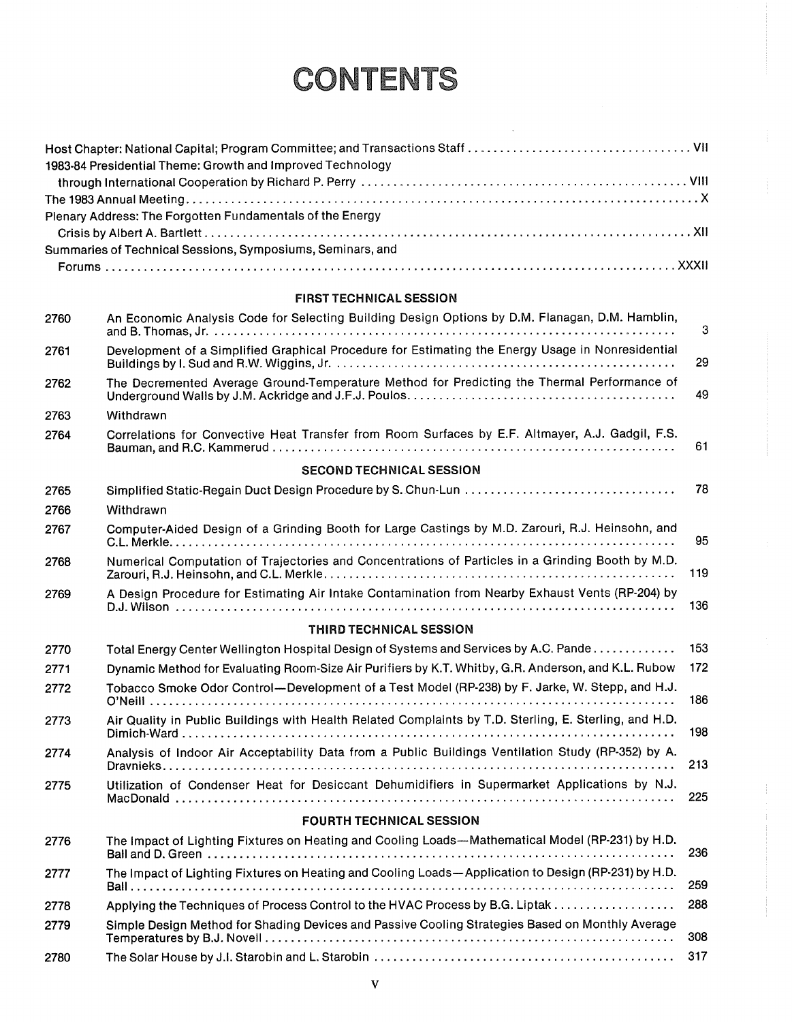# **CONFEND**

|      | 1983-84 Presidential Theme: Growth and Improved Technology                                             |     |
|------|--------------------------------------------------------------------------------------------------------|-----|
|      |                                                                                                        |     |
|      | Plenary Address: The Forgotten Fundamentals of the Energy                                              |     |
|      | Summaries of Technical Sessions, Symposiums, Seminars, and                                             |     |
|      |                                                                                                        |     |
|      | <b>FIRST TECHNICAL SESSION</b>                                                                         |     |
| 2760 | An Economic Analysis Code for Selecting Building Design Options by D.M. Flanagan, D.M. Hamblin,        | 3   |
| 2761 | Development of a Simplified Graphical Procedure for Estimating the Energy Usage in Nonresidential      | 29  |
| 2762 | The Decremented Average Ground-Temperature Method for Predicting the Thermal Performance of            | 49  |
| 2763 | Withdrawn                                                                                              |     |
| 2764 | Correlations for Convective Heat Transfer from Room Surfaces by E.F. Altmayer, A.J. Gadgil, F.S.       | 61  |
|      | <b>SECOND TECHNICAL SESSION</b>                                                                        |     |
| 2765 |                                                                                                        | 78  |
| 2766 | Withdrawn                                                                                              |     |
| 2767 | Computer-Aided Design of a Grinding Booth for Large Castings by M.D. Zarouri, R.J. Heinsohn, and       | 95  |
| 2768 | Numerical Computation of Trajectories and Concentrations of Particles in a Grinding Booth by M.D.      | 119 |
| 2769 | A Design Procedure for Estimating Air Intake Contamination from Nearby Exhaust Vents (RP-204) by       | 136 |
|      | THIRD TECHNICAL SESSION                                                                                |     |
| 2770 | Total Energy Center Wellington Hospital Design of Systems and Services by A.C. Pande                   | 153 |
| 2771 | Dynamic Method for Evaluating Room-Size Air Purifiers by K.T. Whitby, G.R. Anderson, and K.L. Rubow    | 172 |
| 2772 | Tobacco Smoke Odor Control-Development of a Test Model (RP-238) by F. Jarke, W. Stepp, and H.J.        | 186 |
| 2773 | Air Quality in Public Buildings with Health Related Complaints by T.D. Sterling, E. Sterling, and H.D. | 198 |
| 2774 | Analysis of Indoor Air Acceptability Data from a Public Buildings Ventilation Study (RP-352) by A.     | 213 |
| 2775 | Utilization of Condenser Heat for Desiccant Dehumidifiers in Supermarket Applications by N.J.          | 225 |
|      | <b>FOURTH TECHNICAL SESSION</b>                                                                        |     |
| 2776 | The Impact of Lighting Fixtures on Heating and Cooling Loads—Mathematical Model (RP-231) by H.D.       | 236 |
| 2777 | The Impact of Lighting Fixtures on Heating and Cooling Loads-Application to Design (RP-231) by H.D.    | 259 |
| 2778 | Applying the Techniques of Process Control to the HVAC Process by B.G. Liptak                          | 288 |
| 2779 | Simple Design Method for Shading Devices and Passive Cooling Strategies Based on Monthly Average       | 308 |
| 2780 |                                                                                                        | 317 |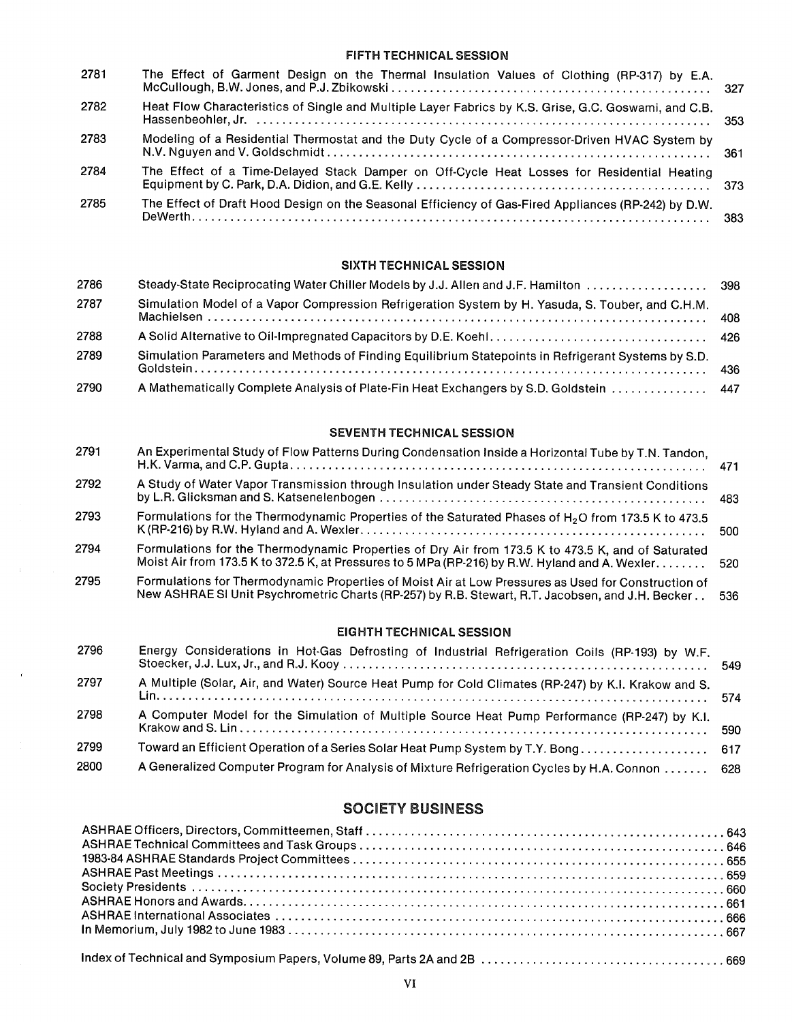### FIFTH TECHNICALSESSION

| 2781 | The Effect of Garment Design on the Thermal Insulation Values of Clothing (RP-317) by E.A.                                                                                                                                                                                                                                             |  |
|------|----------------------------------------------------------------------------------------------------------------------------------------------------------------------------------------------------------------------------------------------------------------------------------------------------------------------------------------|--|
| 2782 | Heat Flow Characteristics of Single and Multiple Layer Fabrics by K.S. Grise, G.C. Goswami, and C.B.<br>Hassenbeohler, Jr. (1995). [1989] Hassenbeohler, Jr. (253). [253] Hassenbeohler, Jr. (253). [253] Hassenbeohler, Jr. (253). [253] Hassenbeohler, Jr. (253). [253] Hassenbeohler, Jr. (253). [253] Hassenberg, Jr. (254). [254] |  |
| 2783 | Modeling of a Residential Thermostat and the Duty Cycle of a Compressor-Driven HVAC System by                                                                                                                                                                                                                                          |  |
| 2784 | The Effect of a Time-Delayed Stack Damper on Off-Cycle Heat Losses for Residential Heating                                                                                                                                                                                                                                             |  |
| 2785 | The Effect of Draft Hood Design on the Seasonal Efficiency of Gas-Fired Appliances (RP-242) by D.W.                                                                                                                                                                                                                                    |  |

## SIXTH TECHNICALSESSION

| 2786 |                                                                                                     |  |
|------|-----------------------------------------------------------------------------------------------------|--|
| 2787 | Simulation Model of a Vapor Compression Refrigeration System by H. Yasuda, S. Touber, and C.H.M.    |  |
| 2788 |                                                                                                     |  |
| 2789 | Simulation Parameters and Methods of Finding Equilibrium Statepoints in Refrigerant Systems by S.D. |  |
| 2790 | A Mathematically Complete Analysis of Plate-Fin Heat Exchangers by S.D. Goldstein  447              |  |

### SEVENTH TECHNICAL SESSION

| 2791 | An Experimental Study of Flow Patterns During Condensation Inside a Horizontal Tube by T.N. Tandon,                                                                                                      | 471  |
|------|----------------------------------------------------------------------------------------------------------------------------------------------------------------------------------------------------------|------|
| 2792 | A Study of Water Vapor Transmission through Insulation under Steady State and Transient Conditions                                                                                                       | 483  |
| 2793 | Formulations for the Thermodynamic Properties of the Saturated Phases of H <sub>2</sub> O from 173.5 K to 473.5                                                                                          | 500. |
| 2794 | Formulations for the Thermodynamic Properties of Dry Air from 173.5 K to 473.5 K, and of Saturated<br>Moist Air from 173.5 K to 372.5 K, at Pressures to 5 MPa (RP-216) by R.W. Hyland and A. Wexler 520 |      |
| 2795 | Formulations for Thermodynamic Properties of Moist Air at Low Pressures as Used for Construction of<br>New ASHRAE SI Unit Psychrometric Charts (RP-257) by R.B. Stewart, R.T. Jacobsen, and J.H. Becker  | 536  |

 $\sim$ 

 $\overline{1}$ 

### EIGHTH TECHNICAL SESSION

| 2796 | Energy Considerations in Hot-Gas Defrosting of Industrial Refrigeration Coils (RP-193) by W.F.       |      |
|------|------------------------------------------------------------------------------------------------------|------|
| 2797 | A Multiple (Solar, Air, and Water) Source Heat Pump for Cold Climates (RP-247) by K.I. Krakow and S. |      |
| 2798 | A Computer Model for the Simulation of Multiple Source Heat Pump Performance (RP-247) by K.I.        | -590 |
| 2799 | Toward an Efficient Operation of a Series Solar Heat Pump System by T.Y. Bong 617                    |      |
| 2800 | A Generalized Computer Program for Analysis of Mixture Refrigeration Cycles by H.A. Connon 628       |      |

## SOCIETY BUSINESS

|--|--|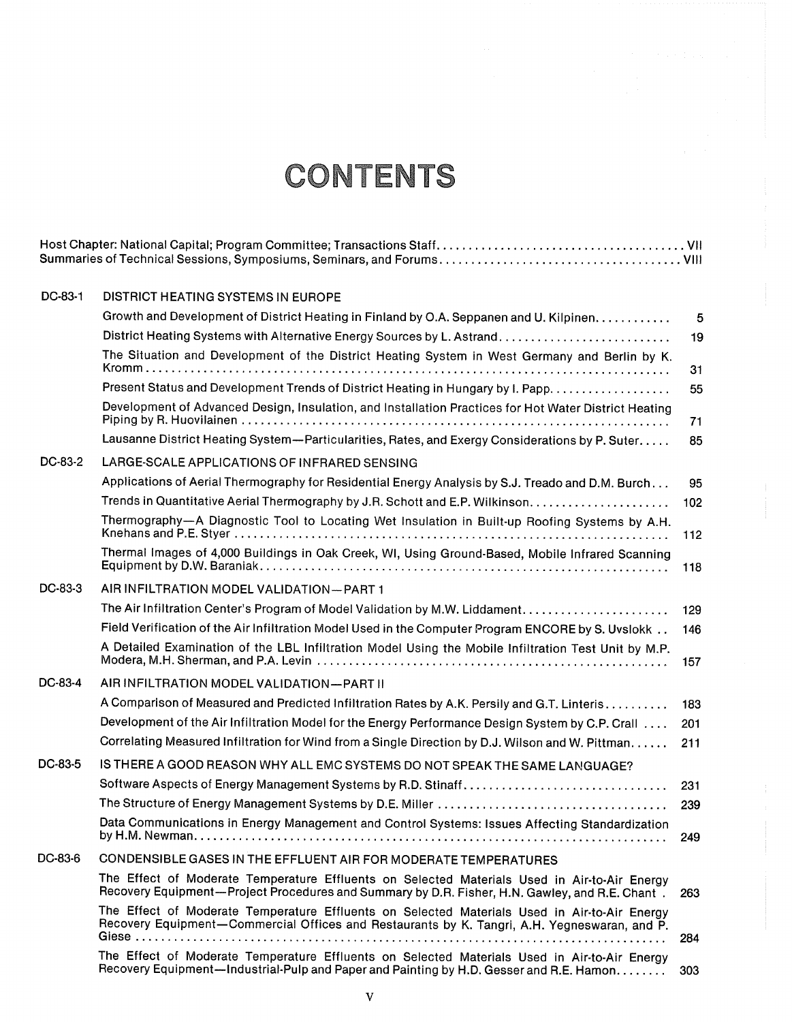# **CONTENTS**

| DC-83-1 | DISTRICT HEATING SYSTEMS IN EUROPE                                                                                                                                                             |                |
|---------|------------------------------------------------------------------------------------------------------------------------------------------------------------------------------------------------|----------------|
|         | Growth and Development of District Heating in Finland by O.A. Seppanen and U. Kilpinen.                                                                                                        | $\overline{5}$ |
|         | District Heating Systems with Alternative Energy Sources by L. Astrand                                                                                                                         | 19             |
|         | The Situation and Development of the District Heating System in West Germany and Berlin by K.                                                                                                  | 31             |
|         | Present Status and Development Trends of District Heating in Hungary by I. Papp.                                                                                                               | 55             |
|         | Development of Advanced Design, Insulation, and Installation Practices for Hot Water District Heating                                                                                          | 71             |
|         | Lausanne District Heating System-Particularities, Rates, and Exergy Considerations by P. Suter                                                                                                 | 85             |
| DC-83-2 | LARGE-SCALE APPLICATIONS OF INFRARED SENSING                                                                                                                                                   |                |
|         | Applications of Aerial Thermography for Residential Energy Analysis by S.J. Treado and D.M. Burch                                                                                              | 95             |
|         | Trends in Quantitative Aerial Thermography by J.R. Schott and E.P. Wilkinson                                                                                                                   | 102            |
|         | Thermography-A Diagnostic Tool to Locating Wet Insulation in Built-up Roofing Systems by A.H.                                                                                                  | 112            |
|         | Thermal Images of 4,000 Buildings in Oak Creek, WI, Using Ground-Based, Mobile Infrared Scanning                                                                                               | 118            |
| DC-83-3 | AIR INFILTRATION MODEL VALIDATION-PART 1                                                                                                                                                       |                |
|         | The Air Infiltration Center's Program of Model Validation by M.W. Liddament                                                                                                                    | 129            |
|         | Field Verification of the Air Infiltration Model Used in the Computer Program ENCORE by S. Uvslokk                                                                                             | 146            |
|         | A Detailed Examination of the LBL Infiltration Model Using the Mobile Infiltration Test Unit by M.P.                                                                                           | 157            |
| DC-83-4 | AIR INFILTRATION MODEL VALIDATION-PART II                                                                                                                                                      |                |
|         | A Comparison of Measured and Predicted Infiltration Rates by A.K. Persily and G.T. Linteris                                                                                                    | 183            |
|         | Development of the Air Infiltration Model for the Energy Performance Design System by C.P. Crall                                                                                               | 201            |
|         | Correlating Measured Infiltration for Wind from a Single Direction by D.J. Wilson and W. Pittman                                                                                               | 211            |
| DC-83-5 | IS THERE A GOOD REASON WHY ALL EMC SYSTEMS DO NOT SPEAK THE SAME LANGUAGE?                                                                                                                     |                |
|         | Software Aspects of Energy Management Systems by R.D. Stinaff                                                                                                                                  | 231            |
|         |                                                                                                                                                                                                | 239            |
|         | Data Communications in Energy Management and Control Systems: Issues Affecting Standardization                                                                                                 | 249            |
| DC-83-6 | CONDENSIBLE GASES IN THE EFFLUENT AIR FOR MODERATE TEMPERATURES                                                                                                                                |                |
|         | The Effect of Moderate Temperature Effluents on Selected Materials Used in Air-to-Air Energy<br>Recovery Equipment-Project Procedures and Summary by D.R. Fisher, H.N. Gawley, and R.E. Chant. | 263            |
|         | The Effect of Moderate Temperature Effluents on Selected Materials Used in Air-to-Air Energy<br>Recovery Equipment-Commercial Offices and Restaurants by K. Tangri, A.H. Yegneswaran, and P.   |                |
|         | The Effect of Moderate Temperature Effluents on Selected Materials Used in Air-to-Air Energy                                                                                                   | 284            |
|         | Recovery Equipment-Industrial-Pulp and Paper and Painting by H.D. Gesser and R.E. Hamon                                                                                                        | 303            |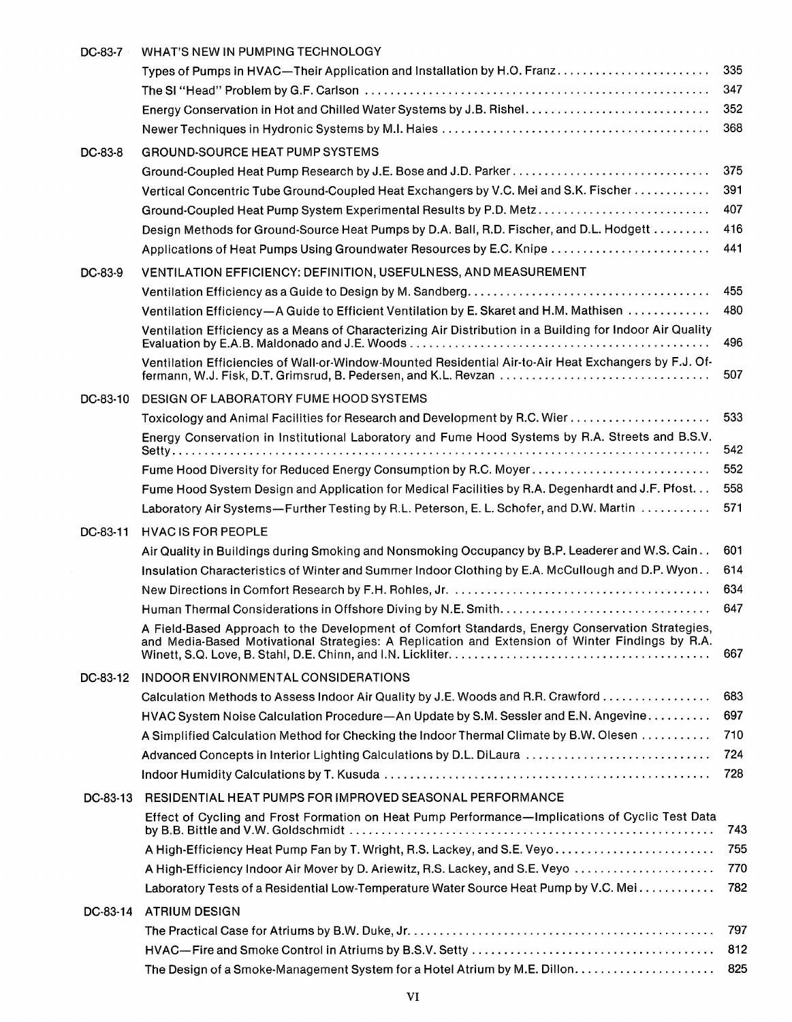| DC-83-7  | WHAT'S NEW IN PUMPING TECHNOLOGY                                                                                                                                                                   |     |
|----------|----------------------------------------------------------------------------------------------------------------------------------------------------------------------------------------------------|-----|
|          | Types of Pumps in HVAC—Their Application and Installation by H.O. Franz                                                                                                                            | 335 |
|          |                                                                                                                                                                                                    | 347 |
|          |                                                                                                                                                                                                    | 352 |
|          |                                                                                                                                                                                                    | 368 |
| DC-83-8  | <b>GROUND-SOURCE HEAT PUMP SYSTEMS</b>                                                                                                                                                             |     |
|          |                                                                                                                                                                                                    | 375 |
|          | Vertical Concentric Tube Ground-Coupled Heat Exchangers by V.C. Mei and S.K. Fischer                                                                                                               | 391 |
|          | Ground-Coupled Heat Pump System Experimental Results by P.D. Metz                                                                                                                                  | 407 |
|          | Design Methods for Ground-Source Heat Pumps by D.A. Ball, R.D. Fischer, and D.L. Hodgett                                                                                                           | 416 |
|          | Applications of Heat Pumps Using Groundwater Resources by E.C. Knipe                                                                                                                               | 441 |
| DC-83-9  | VENTILATION EFFICIENCY: DEFINITION, USEFULNESS, AND MEASUREMENT                                                                                                                                    |     |
|          |                                                                                                                                                                                                    | 455 |
|          | Ventilation Efficiency-A Guide to Efficient Ventilation by E. Skaret and H.M. Mathisen                                                                                                             | 480 |
|          | Ventilation Efficiency as a Means of Characterizing Air Distribution in a Building for Indoor Air Quality                                                                                          |     |
|          |                                                                                                                                                                                                    | 496 |
|          | Ventilation Efficiencies of Wall-or-Window-Mounted Residential Air-to-Air Heat Exchangers by F.J. Of-                                                                                              | 507 |
| DC-83-10 | DESIGN OF LABORATORY FUME HOOD SYSTEMS                                                                                                                                                             |     |
|          |                                                                                                                                                                                                    | 533 |
|          | Energy Conservation in Institutional Laboratory and Fume Hood Systems by R.A. Streets and B.S.V.                                                                                                   | 542 |
|          | Fume Hood Diversity for Reduced Energy Consumption by R.C. Moyer                                                                                                                                   | 552 |
|          | Fume Hood System Design and Application for Medical Facilities by R.A. Degenhardt and J.F. Pfost                                                                                                   | 558 |
|          | Laboratory Air Systems—Further Testing by R.L. Peterson, E. L. Schofer, and D.W. Martin                                                                                                            | 571 |
| DC-83-11 | <b>HVAC IS FOR PEOPLE</b>                                                                                                                                                                          |     |
|          | Air Quality in Buildings during Smoking and Nonsmoking Occupancy by B.P. Leaderer and W.S. Cain                                                                                                    | 601 |
|          | Insulation Characteristics of Winter and Summer Indoor Clothing by E.A. McCullough and D.P. Wyon                                                                                                   | 614 |
|          |                                                                                                                                                                                                    | 634 |
|          |                                                                                                                                                                                                    | 647 |
|          | A Field-Based Approach to the Development of Comfort Standards, Energy Conservation Strategies,<br>and Media-Based Motivational Strategies: A Replication and Extension of Winter Findings by R.A. | 667 |
| DC-83-12 | INDOOR ENVIRONMENTAL CONSIDERATIONS                                                                                                                                                                |     |
|          | Calculation Methods to Assess Indoor Air Quality by J.E. Woods and R.R. Crawford                                                                                                                   | 683 |
|          | HVAC System Noise Calculation Procedure-An Update by S.M. Sessler and E.N. Angevine                                                                                                                | 697 |
|          | A Simplified Calculation Method for Checking the Indoor Thermal Climate by B.W. Olesen                                                                                                             | 710 |
|          | Advanced Concepts in Interior Lighting Calculations by D.L. DiLaura                                                                                                                                | 724 |
|          |                                                                                                                                                                                                    | 728 |
| DC-83-13 | RESIDENTIAL HEAT PUMPS FOR IMPROVED SEASONAL PERFORMANCE                                                                                                                                           |     |
|          | Effect of Cycling and Frost Formation on Heat Pump Performance-Implications of Cyclic Test Data                                                                                                    | 743 |
|          | A High-Efficiency Heat Pump Fan by T. Wright, R.S. Lackey, and S.E. Veyo                                                                                                                           | 755 |
|          | A High-Efficiency Indoor Air Mover by D. Ariewitz, R.S. Lackey, and S.E. Veyo                                                                                                                      | 770 |
|          | Laboratory Tests of a Residential Low-Temperature Water Source Heat Pump by V.C. Mei                                                                                                               | 782 |
| DC-83-14 | <b>ATRIUM DESIGN</b>                                                                                                                                                                               |     |
|          |                                                                                                                                                                                                    | 797 |
|          |                                                                                                                                                                                                    | 812 |
|          |                                                                                                                                                                                                    | 825 |